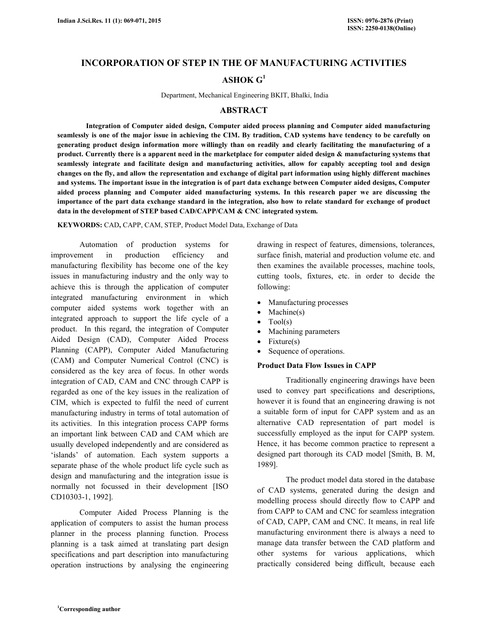# **INCORPORATION OF STEP IN THE OF MANUFACTURING ACTIVITIES**

## **ASHOK G<sup>1</sup>**

Department, Mechanical Engineering BKIT, Bhalki, India

#### **ABSTRACT**

 **Integration of Computer aided design, Computer aided process planning and Computer aided manufacturing seamlessly is one of the major issue in achieving the CIM. By tradition, CAD systems have tendency to be carefully on generating product design information more willingly than on readily and clearly facilitating the manufacturing of a product. Currently there is a apparent need in the marketplace for computer aided design & manufacturing systems that seamlessly integrate and facilitate design and manufacturing activities, allow for capably accepting tool and design changes on the fly, and allow the representation and exchange of digital part information using highly different machines and systems. The important issue in the integration is of part data exchange between Computer aided designs, Computer aided process planning and Computer aided manufacturing systems. In this research paper we are discussing the importance of the part data exchange standard in the integration, also how to relate standard for exchange of product data in the development of STEP based CAD/CAPP/CAM & CNC integrated system.** 

**KEYWORDS:** CAD**,** CAPP, CAM, STEP, Product Model Data, Exchange of Data

 Automation of production systems for improvement in production efficiency and manufacturing flexibility has become one of the key issues in manufacturing industry and the only way to achieve this is through the application of computer integrated manufacturing environment in which computer aided systems work together with an integrated approach to support the life cycle of a product. In this regard, the integration of Computer Aided Design (CAD), Computer Aided Process Planning (CAPP), Computer Aided Manufacturing (CAM) and Computer Numerical Control (CNC) is considered as the key area of focus. In other words integration of CAD, CAM and CNC through CAPP is regarded as one of the key issues in the realization of CIM, which is expected to fulfil the need of current manufacturing industry in terms of total automation of its activities. In this integration process CAPP forms an important link between CAD and CAM which are usually developed independently and are considered as 'islands' of automation. Each system supports a separate phase of the whole product life cycle such as design and manufacturing and the integration issue is normally not focussed in their development [ISO CD10303-1, 1992].

 Computer Aided Process Planning is the application of computers to assist the human process planner in the process planning function. Process planning is a task aimed at translating part design specifications and part description into manufacturing operation instructions by analysing the engineering drawing in respect of features, dimensions, tolerances, surface finish, material and production volume etc. and then examines the available processes, machine tools, cutting tools, fixtures, etc. in order to decide the following:

- Manufacturing processes
- $Machine(s)$
- $\bullet$  Tool(s)
- Machining parameters
- Fixture(s)
- Sequence of operations.

### **Product Data Flow Issues in CAPP**

 Traditionally engineering drawings have been used to convey part specifications and descriptions, however it is found that an engineering drawing is not a suitable form of input for CAPP system and as an alternative CAD representation of part model is successfully employed as the input for CAPP system. Hence, it has become common practice to represent a designed part thorough its CAD model [Smith, B. M, 1989].

 The product model data stored in the database of CAD systems, generated during the design and modelling process should directly flow to CAPP and from CAPP to CAM and CNC for seamless integration of CAD, CAPP, CAM and CNC. It means, in real life manufacturing environment there is always a need to manage data transfer between the CAD platform and other systems for various applications, which practically considered being difficult, because each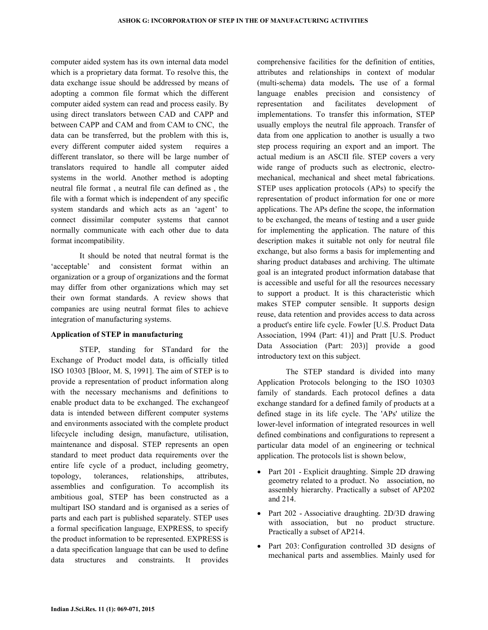computer aided system has its own internal data model which is a proprietary data format. To resolve this, the data exchange issue should be addressed by means of adopting a common file format which the different computer aided system can read and process easily. By using direct translators between CAD and CAPP and between CAPP and CAM and from CAM to CNC, the data can be transferred, but the problem with this is, every different computer aided system requires a different translator, so there will be large number of translators required to handle all computer aided systems in the world. Another method is adopting neutral file format , a neutral file can defined as , the file with a format which is independent of any specific system standards and which acts as an 'agent' to connect dissimilar computer systems that cannot normally communicate with each other due to data format incompatibility.

 It should be noted that neutral format is the 'acceptable' and consistent format within an organization or a group of organizations and the format may differ from other organizations which may set their own format standards. A review shows that companies are using neutral format files to achieve integration of manufacturing systems.

### **Application of STEP in manufacturing**

 STEP, standing for STandard for the Exchange of Product model data, is officially titled ISO 10303 [Bloor, M. S, 1991]. The aim of STEP is to provide a representation of product information along with the necessary mechanisms and definitions to enable product data to be exchanged. The exchangeof data is intended between different computer systems and environments associated with the complete product lifecycle including design, manufacture, utilisation, maintenance and disposal. STEP represents an open standard to meet product data requirements over the entire life cycle of a product, including geometry, topology, tolerances, relationships, attributes, assemblies and configuration. To accomplish its ambitious goal, STEP has been constructed as a multipart ISO standard and is organised as a series of parts and each part is published separately. STEP uses a formal specification language, EXPRESS, to specify the product information to be represented. EXPRESS is a data specification language that can be used to define data structures and constraints. It provides

comprehensive facilities for the definition of entities, attributes and relationships in context of modular (multi-schema) data models**.** The use of a formal language enables precision and consistency of representation and facilitates development of implementations. To transfer this information, STEP usually employs the neutral file approach. Transfer of data from one application to another is usually a two step process requiring an export and an import. The actual medium is an ASCII file. STEP covers a very wide range of products such as electronic, electromechanical, mechanical and sheet metal fabrications. STEP uses application protocols (APs) to specify the representation of product information for one or more applications. The APs define the scope, the information to be exchanged, the means of testing and a user guide for implementing the application. The nature of this description makes it suitable not only for neutral file exchange, but also forms a basis for implementing and sharing product databases and archiving. The ultimate goal is an integrated product information database that is accessible and useful for all the resources necessary to support a product. It is this characteristic which makes STEP computer sensible. It supports design reuse, data retention and provides access to data across a product's entire life cycle. Fowler [U.S. Product Data Association, 1994 (Part: 41)] and Pratt [U.S. Product Data Association (Part: 203)] provide a good introductory text on this subject.

 The STEP standard is divided into many Application Protocols belonging to the ISO 10303 family of standards. Each protocol defines a data exchange standard for a defined family of products at a defined stage in its life cycle. The 'APs' utilize the lower-level information of integrated resources in well defined combinations and configurations to represent a particular data model of an engineering or technical application. The protocols list is shown below,

- Part 201 Explicit draughting. Simple 2D drawing geometry related to a product. No association, no assembly hierarchy. Practically a subset of AP202 and 214.
- Part 202 Associative draughting. 2D/3D drawing with association, but no product structure. Practically a subset of AP214.
- Part 203: Configuration controlled 3D designs of mechanical parts and assemblies. Mainly used for